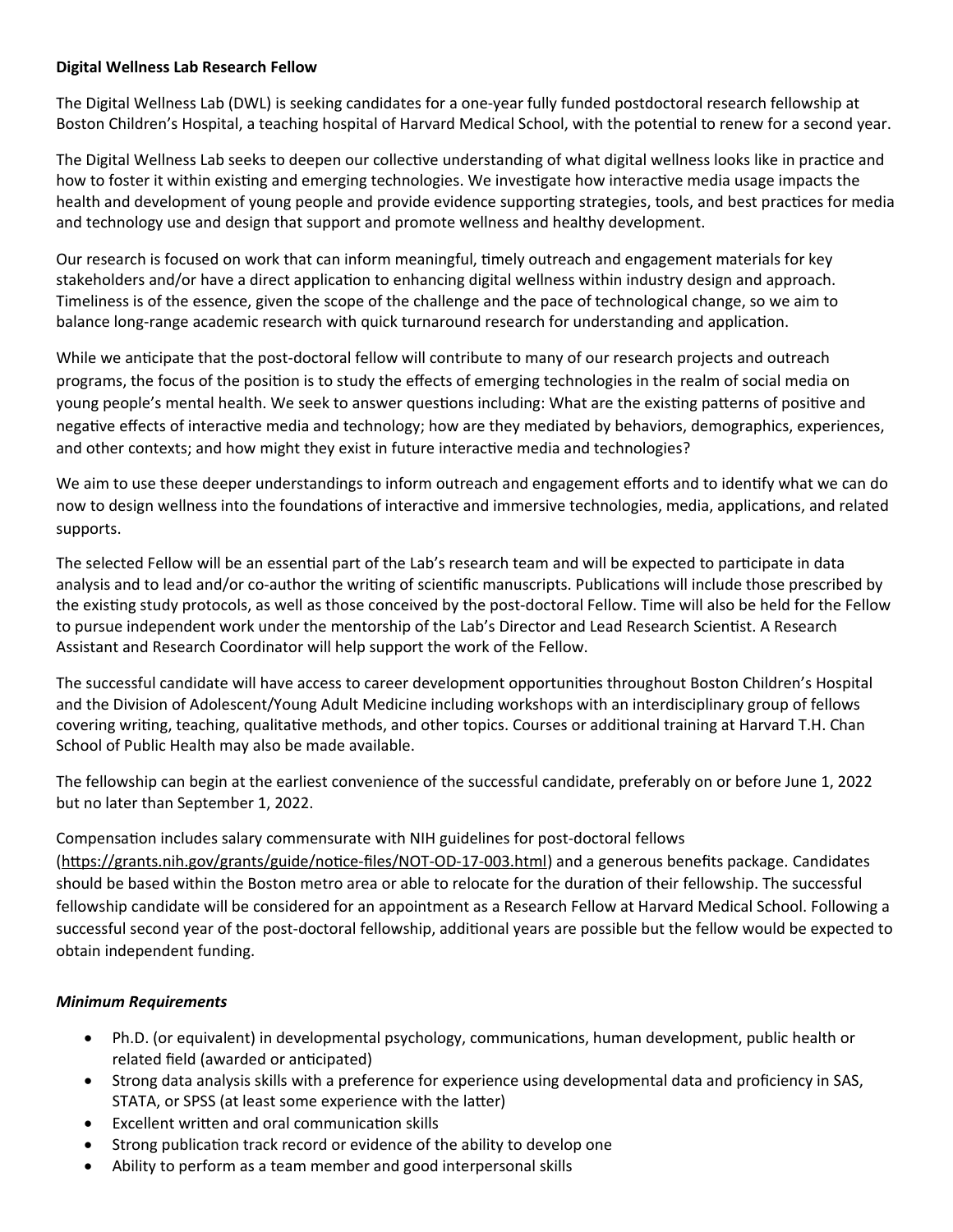## **Digital Wellness Lab Research Fellow**

The Digital Wellness Lab (DWL) is seeking candidates for a one-year fully funded postdoctoral research fellowship at Boston Children's Hospital, a teaching hospital of Harvard Medical School, with the potential to renew for a second year.

The Digital Wellness Lab seeks to deepen our collective understanding of what digital wellness looks like in practice and how to foster it within existing and emerging technologies. We investigate how interactive media usage impacts the health and development of young people and provide evidence supporting strategies, tools, and best practices for media and technology use and design that support and promote wellness and healthy development.

Our research is focused on work that can inform meaningful, timely outreach and engagement materials for key stakeholders and/or have a direct application to enhancing digital wellness within industry design and approach. Timeliness is of the essence, given the scope of the challenge and the pace of technological change, so we aim to balance long-range academic research with quick turnaround research for understanding and application.

While we anticipate that the post-doctoral fellow will contribute to many of our research projects and outreach programs, the focus of the position is to study the effects of emerging technologies in the realm of social media on young people's mental health. We seek to answer questions including: What are the existing patterns of positive and negative effects of interactive media and technology; how are they mediated by behaviors, demographics, experiences, and other contexts; and how might they exist in future interactive media and technologies?

We aim to use these deeper understandings to inform outreach and engagement efforts and to identify what we can do now to design wellness into the foundations of interactive and immersive technologies, media, applications, and related supports.

The selected Fellow will be an essential part of the Lab's research team and will be expected to participate in data analysis and to lead and/or co-author the writing of scientific manuscripts. Publications will include those prescribed by the existing study protocols, as well as those conceived by the post-doctoral Fellow. Time will also be held for the Fellow to pursue independent work under the mentorship of the Lab's Director and Lead Research Scientist. A Research Assistant and Research Coordinator will help support the work of the Fellow.

The successful candidate will have access to career development opportunities throughout Boston Children's Hospital and the Division of Adolescent/Young Adult Medicine including workshops with an interdisciplinary group of fellows covering writing, teaching, qualitative methods, and other topics. Courses or additional training at Harvard T.H. Chan School of Public Health may also be made available.

The fellowship can begin at the earliest convenience of the successful candidate, preferably on or before June 1, 2022 but no later than September 1, 2022.

Compensation includes salary commensurate with NIH guidelines for post-doctoral fellows

[\(https://grants.nih.gov/grants/guide/notice-files/NOT-OD-17-003.html\)](https://grants.nih.gov/grants/guide/notice-files/NOT-OD-17-003.html) and a generous benefits package. Candidates should be based within the Boston metro area or able to relocate for the duration of their fellowship. The successful fellowship candidate will be considered for an appointment as a Research Fellow at Harvard Medical School. Following a successful second year of the post-doctoral fellowship, additional years are possible but the fellow would be expected to obtain independent funding.

## *Minimum Requirements*

- Ph.D. (or equivalent) in developmental psychology, communications, human development, public health or related field (awarded or anticipated)
- Strong data analysis skills with a preference for experience using developmental data and proficiency in SAS, STATA, or SPSS (at least some experience with the latter)
- Excellent written and oral communication skills
- Strong publication track record or evidence of the ability to develop one
- Ability to perform as a team member and good interpersonal skills